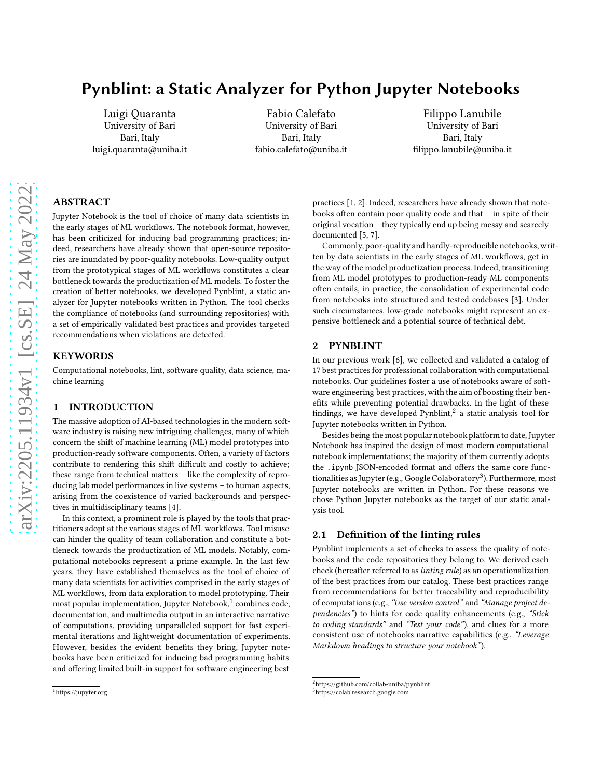# Pynblint: a Static Analyzer for Python Jupyter Notebooks

[Luigi Quaranta](https://orcid.org/0000-0002-9221-0739) University of Bari Bari, Italy luigi.quaranta@uniba.it

[Fabio Calefato](https://orcid.org/0000-0003-2654-1588) University of Bari Bari, Italy fabio.calefato@uniba.it

[Filippo Lanubile](https://orcid.org/0000-0003-3373-7589) University of Bari Bari, Italy filippo.lanubile@uniba.it

# ABSTRACT

Jupyter Notebook is the tool of choice of many data scientists in the early stages of ML workflows. The notebook format, however, has been criticized for inducing bad programming practices; indeed, researchers have already shown that open-source repositories are inundated by poor-quality notebooks. Low-quality output from the prototypical stages of ML workflows constitutes a clear bottleneck towards the productization of ML models. To foster the creation of better notebooks, we developed Pynblint, a static analyzer for Jupyter notebooks written in Python. The tool checks the compliance of notebooks (and surrounding repositories) with a set of empirically validated best practices and provides targeted recommendations when violations are detected.

## **KEYWORDS**

Computational notebooks, lint, software quality, data science, machine learning

## 1 INTRODUCTION

The massive adoption of AI-based technologies in the modern software industry is raising new intriguing challenges, many of which concern the shift of machine learning (ML) model prototypes into production-ready software components. Often, a variety of factors contribute to rendering this shift difficult and costly to achieve; these range from technical matters – like the complexity of reproducing lab model performances in live systems – to human aspects, arising from the coexistence of varied backgrounds and perspectives in multidisciplinary teams [\[4\]](#page-1-0).

In this context, a prominent role is played by the tools that practitioners adopt at the various stages of ML workflows. Tool misuse can hinder the quality of team collaboration and constitute a bottleneck towards the productization of ML models. Notably, computational notebooks represent a prime example. In the last few years, they have established themselves as the tool of choice of many data scientists for activities comprised in the early stages of ML workflows, from data exploration to model prototyping. Their most popular implementation, Jupyter Notebook,<sup>[1](#page-0-0)</sup> combines code, documentation, and multimedia output in an interactive narrative of computations, providing unparalleled support for fast experimental iterations and lightweight documentation of experiments. However, besides the evident benefits they bring, Jupyter notebooks have been criticized for inducing bad programming habits and offering limited built-in support for software engineering best

practices [\[1](#page-1-1), [2](#page-1-2)]. Indeed, researchers have already shown that notebooks often contain poor quality code and that – in spite of their original vocation – they typically end up being messy and scarcely documented [\[5,](#page-1-3) [7\]](#page-1-4).

Commonly, poor-quality and hardly-reproducible notebooks, written by data scientists in the early stages of ML workflows, get in the way of the model productization process. Indeed, transitioning from ML model prototypes to production-ready ML components often entails, in practice, the consolidation of experimental code from notebooks into structured and tested codebases [\[3](#page-1-5)]. Under such circumstances, low-grade notebooks might represent an expensive bottleneck and a potential source of technical debt.

# 2 PYNBLINT

In our previous work [\[6\]](#page-1-6), we collected and validated a catalog of 17 best practices for professional collaboration with computational notebooks. Our guidelines foster a use of notebooks aware of software engineering best practices, with the aim of boosting their benefits while preventing potential drawbacks. In the light of these findings, we have developed Pynblint, $^2$  $^2$  a static analysis tool for Jupyter notebooks written in Python.

Besides being the most popular notebook platform to date, Jupyter Notebook has inspired the design of most modern computational notebook implementations; the majority of them currently adopts the .ipynb JSON-encoded format and offers the same core func-tionalities as Jupyter (e.g., Google Colaboratory<sup>[3](#page-0-2)</sup>). Furthermore, most Jupyter notebooks are written in Python. For these reasons we chose Python Jupyter notebooks as the target of our static analysis tool.

## 2.1 Definition of the linting rules

Pynblint implements a set of checks to assess the quality of notebooks and the code repositories they belong to. We derived each check (hereafter referred to as*linting rule*) as an operationalization of the best practices from our catalog. These best practices range from recommendations for better traceability and reproducibility of computations (e.g., *"Use version control"* and *"Manage project dependencies"*) to hints for code quality enhancements (e.g., *"Stick to coding standards"* and *"Test your code"*), and clues for a more consistent use of notebooks narrative capabilities (e.g., *"Leverage Markdown headings to structure your notebook"*).

<span id="page-0-0"></span><sup>1</sup>https://jupyter.org

<sup>2</sup>https://github.com/collab-uniba/pynblint

<span id="page-0-2"></span><span id="page-0-1"></span><sup>3</sup>https://colab.research.google.com